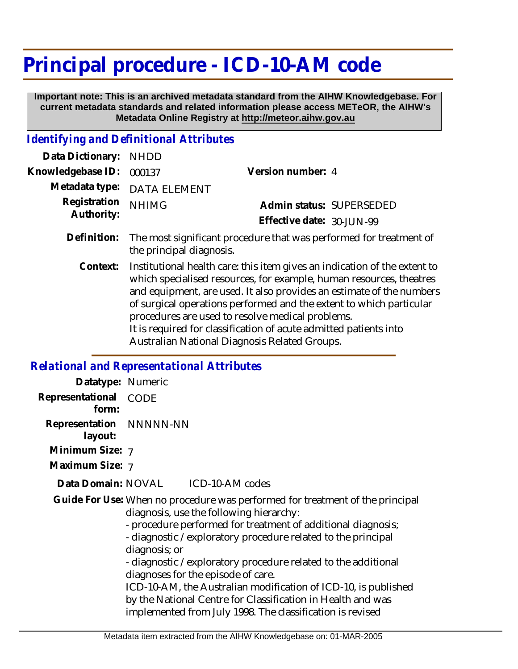## **Principal procedure - ICD-10-AM code**

 **Important note: This is an archived metadata standard from the AIHW Knowledgebase. For current metadata standards and related information please access METeOR, the AIHW's Metadata Online Registry at http://meteor.aihw.gov.au**

## *Identifying and Definitional Attributes*

| Data Dictionary: NHDD      |                                                                                                                                                  |                           |                          |
|----------------------------|--------------------------------------------------------------------------------------------------------------------------------------------------|---------------------------|--------------------------|
| Knowledgebase ID:          | 000137                                                                                                                                           | Version number: 4         |                          |
|                            | Metadata type: DATA ELEMENT                                                                                                                      |                           |                          |
| Registration<br>Authority: | <b>NHIMG</b>                                                                                                                                     |                           | Admin status: SUPERSEDED |
|                            |                                                                                                                                                  | Effective date: 30-JUN-99 |                          |
| Definition:                | The most significant procedure that was performed for treatment of<br>the principal diagnosis.                                                   |                           |                          |
| Context:                   | Institutional health care: this item gives an indication of the extent to<br>which specialised resources, for example, human resources, theatres |                           |                          |

which specialised resources, for example, human resources, theatres and equipment, are used. It also provides an estimate of the numbers of surgical operations performed and the extent to which particular procedures are used to resolve medical problems. It is required for classification of acute admitted patients into

Australian National Diagnosis Related Groups.

## *Relational and Representational Attributes*

| Datatype: Numeric                  |                                                                                                                                                                                                                                                                                                                                                                                                                                                                                                                                                                                  |
|------------------------------------|----------------------------------------------------------------------------------------------------------------------------------------------------------------------------------------------------------------------------------------------------------------------------------------------------------------------------------------------------------------------------------------------------------------------------------------------------------------------------------------------------------------------------------------------------------------------------------|
| Representational<br>form:          | CODE                                                                                                                                                                                                                                                                                                                                                                                                                                                                                                                                                                             |
| Representation NNNNN-NN<br>layout: |                                                                                                                                                                                                                                                                                                                                                                                                                                                                                                                                                                                  |
| Minimum Size: 7                    |                                                                                                                                                                                                                                                                                                                                                                                                                                                                                                                                                                                  |
| Maximum Size: 7                    |                                                                                                                                                                                                                                                                                                                                                                                                                                                                                                                                                                                  |
|                                    | Data Domain: NOVAL ICD-10-AM codes                                                                                                                                                                                                                                                                                                                                                                                                                                                                                                                                               |
|                                    | Guide For Use: When no procedure was performed for treatment of the principal<br>diagnosis, use the following hierarchy:<br>- procedure performed for treatment of additional diagnosis;<br>- diagnostic / exploratory procedure related to the principal<br>diagnosis; or<br>- diagnostic / exploratory procedure related to the additional<br>diagnoses for the episode of care.<br>ICD-10-AM, the Australian modification of ICD-10, is published<br>by the National Centre for Classification in Health and was<br>implemented from July 1998. The classification is revised |